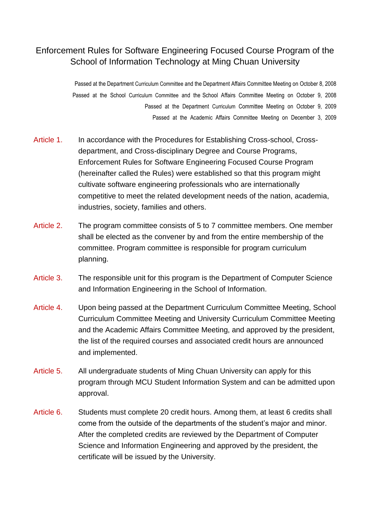## Enforcement Rules for Software Engineering Focused Course Program of the School of Information Technology at Ming Chuan University

Passed at the Department Curriculum Committee and the Department Affairs Committee Meeting on October 8, 2008 Passed at the School Curriculum Committee and the School Affairs Committee Meeting on October 9, 2008 Passed at the Department Curriculum Committee Meeting on October 9, 2009 Passed at the Academic Affairs Committee Meeting on December 3, 2009

- Article 1. In accordance with the Procedures for Establishing Cross-school, Crossdepartment, and Cross-disciplinary Degree and Course Programs, Enforcement Rules for Software Engineering Focused Course Program (hereinafter called the Rules) were established so that this program might cultivate software engineering professionals who are internationally competitive to meet the related development needs of the nation, academia, industries, society, families and others.
- Article 2. The program committee consists of 5 to 7 committee members. One member shall be elected as the convener by and from the entire membership of the committee. Program committee is responsible for program curriculum planning.
- Article 3. The responsible unit for this program is the Department of Computer Science and Information Engineering in the School of Information.
- Article 4. Upon being passed at the Department Curriculum Committee Meeting, School Curriculum Committee Meeting and University Curriculum Committee Meeting and the Academic Affairs Committee Meeting, and approved by the president, the list of the required courses and associated credit hours are announced and implemented.
- Article 5. All undergraduate students of Ming Chuan University can apply for this program through MCU Student Information System and can be admitted upon approval.
- Article 6. Students must complete 20 credit hours. Among them, at least 6 credits shall come from the outside of the departments of the student's major and minor. After the completed credits are reviewed by the Department of Computer Science and Information Engineering and approved by the president, the certificate will be issued by the University.